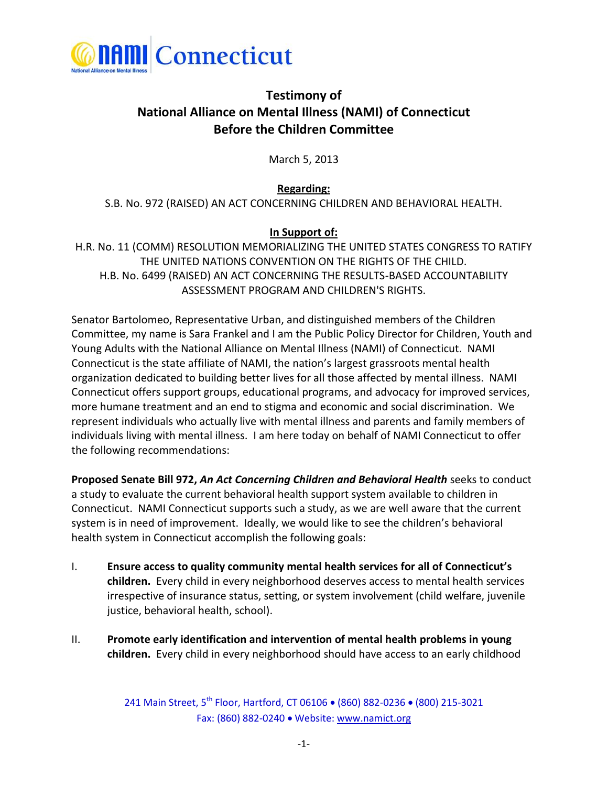

## **Testimony of National Alliance on Mental Illness (NAMI) of Connecticut Before the Children Committee**

March 5, 2013

**Regarding:** S.B. No. 972 (RAISED) AN ACT CONCERNING CHILDREN AND BEHAVIORAL HEALTH.

## **In Support of:**

H.R. No. 11 (COMM) RESOLUTION MEMORIALIZING THE UNITED STATES CONGRESS TO RATIFY THE UNITED NATIONS CONVENTION ON THE RIGHTS OF THE CHILD. H.B. No. 6499 (RAISED) AN ACT CONCERNING THE RESULTS-BASED ACCOUNTABILITY ASSESSMENT PROGRAM AND CHILDREN'S RIGHTS.

Senator Bartolomeo, Representative Urban, and distinguished members of the Children Committee, my name is Sara Frankel and I am the Public Policy Director for Children, Youth and Young Adults with the National Alliance on Mental Illness (NAMI) of Connecticut. NAMI Connecticut is the state affiliate of NAMI, the nation's largest grassroots mental health organization dedicated to building better lives for all those affected by mental illness. NAMI Connecticut offers support groups, educational programs, and advocacy for improved services, more humane treatment and an end to stigma and economic and social discrimination. We represent individuals who actually live with mental illness and parents and family members of individuals living with mental illness. I am here today on behalf of NAMI Connecticut to offer the following recommendations:

**Proposed Senate Bill 972,** *An Act Concerning Children and Behavioral Health* seeks to conduct a study to evaluate the current behavioral health support system available to children in Connecticut. NAMI Connecticut supports such a study, as we are well aware that the current system is in need of improvement. Ideally, we would like to see the children's behavioral health system in Connecticut accomplish the following goals:

- I. **Ensure access to quality community mental health services for all of Connecticut's children.** Every child in every neighborhood deserves access to mental health services irrespective of insurance status, setting, or system involvement (child welfare, juvenile justice, behavioral health, school).
- II. **Promote early identification and intervention of mental health problems in young children.** Every child in every neighborhood should have access to an early childhood

241 Main Street, 5<sup>th</sup> Floor, Hartford, CT 06106 · (860) 882-0236 · (800) 215-3021 Fax: (860) 882-0240 Website: www.namict.org